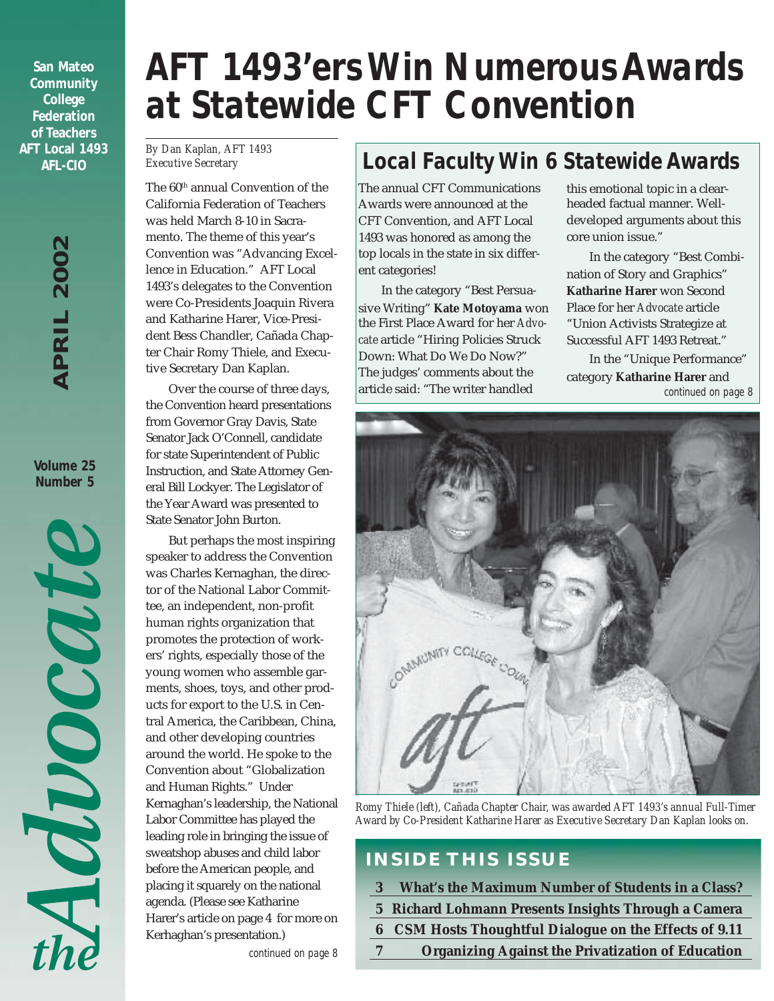**San Mateo Community College Federation of Teachers AFT Local 1493 AFL-CIO**

**Volume 25 Number 5**



# *AFT 1493'ers Win Numerous Awards at Statewide CFT Convention*

*By Dan Kaplan, AFT 1493 Executive Secretary*

The 60<sup>th</sup> annual Convention of the California Federation of Teachers was held March 8-10 in Sacramento. The theme of this year's Convention was "Advancing Excellence in Education." AFT Local 1493's delegates to the Convention were Co-Presidents Joaquin Rivera and Katharine Harer, Vice-President Bess Chandler, Cañada Chapter Chair Romy Thiele, and Executive Secretary Dan Kaplan.

Over the course of three days, the Convention heard presentations from Governor Gray Davis, State Senator Jack O'Connell, candidate for state Superintendent of Public Instruction, and State Attorney General Bill Lockyer. The Legislator of the Year Award was presented to State Senator John Burton.

But perhaps the most inspiring speaker to address the Convention was Charles Kernaghan, the director of the National Labor Committee, an independent, non-profit human rights organization that promotes the protection of workers' rights, especially those of the young women who assemble garments, shoes, toys, and other products for export to the U.S. in Central America, the Caribbean, China, and other developing countries around the world. He spoke to the Convention about "Globalization and Human Rights." Under Kernaghan's leadership, the National Labor Committee has played the leading role in bringing the issue of sweatshop abuses and child labor before the American people, and placing it squarely on the national agenda. (Please see Katharine Harer's article on page 4 for more on Kerhaghan's presentation.) *continued on page 8*

## *Local Faculty Win 6 Statewide Awards*

The annual CFT Communications Awards were announced at the CFT Convention, and AFT Local 1493 was honored as among the top locals in the state in six different categories!

In the category "Best Persuasive Writing" **Kate Motoyama** won the First Place Award for her *Advocate* article "Hiring Policies Struck Down: What Do We Do Now?" The judges' comments about the article said: "The writer handled

this emotional topic in a clearheaded factual manner. Welldeveloped arguments about this core union issue."

In the category "Best Combination of Story and Graphics" **Katharine Harer** won Second Place for her *Advocate* article "Union Activists Strategize at Successful AFT 1493 Retreat."

In the "Unique Performance" category **Katharine Harer** and *continued on page 8*



*Romy Thiele (left), Cañada Chapter Chair, was awarded AFT 1493's annual Full-Timer Award by Co-President Katharine Harer as Executive Secretary Dan Kaplan looks on.*

### **INSIDE THIS ISSUE**

- **3 What's the Maximum Number of Students in a Class?**
- **5 Richard Lohmann Presents Insights Through a Camera**
- **6 CSM Hosts Thoughtful Dialogue on the Effects of 9.11**
- **7 Organizing Against the Privatization of Education**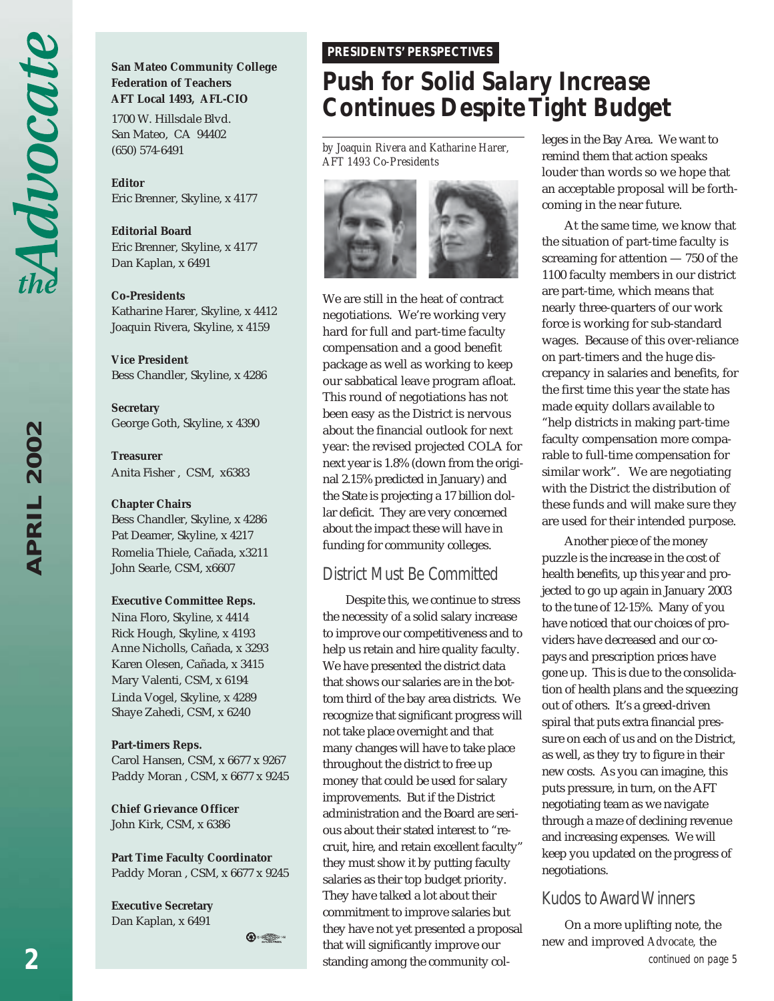# *APRIL 2002* APRIL 2002

#### **San Mateo Community College Federation of Teachers AFT Local 1493, AFL-CIO**

1700 W. Hillsdale Blvd. San Mateo, CA 94402 (650) 574-6491

**Editor** Eric Brenner, Skyline, x 4177

**Editorial Board** Eric Brenner, Skyline, x 4177 Dan Kaplan, x 6491

**Co-Presidents** Katharine Harer, Skyline, x 4412 Joaquin Rivera, Skyline, x 4159

**Vice President** Bess Chandler, Skyline, x 4286

**Secretary** George Goth, Skyline, x 4390

**Treasurer** Anita Fisher , CSM, x6383

#### **Chapter Chairs**

Bess Chandler, Skyline, x 4286 Pat Deamer, Skyline, x 4217 Romelia Thiele, Cañada, x3211 John Searle, CSM, x6607

#### **Executive Committee Reps.**

Nina Floro, Skyline, x 4414 Rick Hough, Skyline, x 4193 Anne Nicholls, Cañada, x 3293 Karen Olesen, Cañada, x 3415 Mary Valenti, CSM, x 6194 Linda Vogel, Skyline, x 4289 Shaye Zahedi, CSM, x 6240

#### **Part-timers Reps.**

Carol Hansen, CSM, x 6677 x 9267 Paddy Moran , CSM, x 6677 x 9245

**Chief Grievance Officer** John Kirk, CSM, x 6386

**Part Time Faculty Coordinator** Paddy Moran , CSM, x 6677 x 9245

**Executive Secretary** Dan Kaplan, x 6491

 $\bigoplus_{i=1}^n a_i$ 

#### *PRESIDENTS' PERSPECTIVES PRESIDENTS' PERSPECTIVES*

## *Push for Solid Salary Increase Continues Despite Tight Budget*

*by Joaquin Rivera and Katharine Harer, AFT 1493 Co-Presidents*



We are still in the heat of contract negotiations. We're working very hard for full and part-time faculty compensation and a good benefit package as well as working to keep our sabbatical leave program afloat. This round of negotiations has not been easy as the District is nervous about the financial outlook for next year: the revised projected COLA for next year is 1.8% (down from the original 2.15% predicted in January) and the State is projecting a 17 billion dollar deficit. They are very concerned about the impact these will have in funding for community colleges.

#### *District Must Be Committed*

Despite this, we continue to stress the necessity of a solid salary increase to improve our competitiveness and to help us retain and hire quality faculty. We have presented the district data that shows our salaries are in the bottom third of the bay area districts. We recognize that significant progress will not take place overnight and that many changes will have to take place throughout the district to free up money that could be used for salary improvements. But if the District administration and the Board are serious about their stated interest to "recruit, hire, and retain excellent faculty" they must show it by putting faculty salaries as their top budget priority. They have talked a lot about their commitment to improve salaries but they have not yet presented a proposal that will significantly improve our standing among the community colleges in the Bay Area. We want to remind them that action speaks louder than words so we hope that an acceptable proposal will be forthcoming in the near future.

At the same time, we know that the situation of part-time faculty is screaming for attention — 750 of the 1100 faculty members in our district are part-time, which means that nearly three-quarters of our work force is working for sub-standard wages. Because of this over-reliance on part-timers and the huge discrepancy in salaries and benefits, for the first time this year the state has made equity dollars available to "help districts in making part-time faculty compensation more comparable to full-time compensation for similar work". We are negotiating with the District the distribution of these funds and will make sure they are used for their intended purpose.

Another piece of the money puzzle is the increase in the cost of health benefits, up this year and projected to go up again in January 2003 to the tune of 12-15%. Many of you have noticed that our choices of providers have decreased and our copays and prescription prices have gone up. This is due to the consolidation of health plans and the squeezing out of others. It's a greed-driven spiral that puts extra financial pressure on each of us and on the District, as well, as they try to figure in their new costs. As you can imagine, this puts pressure, in turn, on the AFT negotiating team as we navigate through a maze of declining revenue and increasing expenses. We will keep you updated on the progress of negotiations.

#### *Kudos to Award Winners*

On a more uplifting note, the new and improved *Advocate,* the *continued on page 5*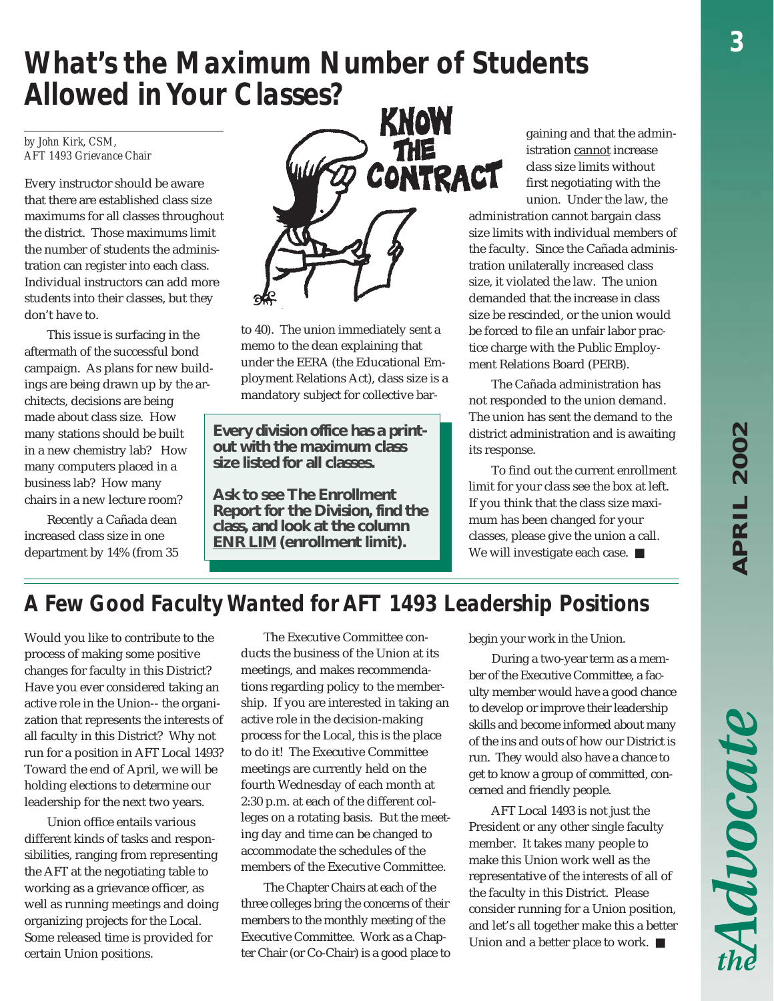Advocate

# *What's the Maximum Number of Students Allowed in Your Classes?*

*by John Kirk, CSM, AFT 1493 Grievance Chair*

Every instructor should be aware that there are established class size maximums for all classes throughout the district. Those maximums limit the number of students the administration can register into each class. Individual instructors can add more students into their classes, but they don't have to.

This issue is surfacing in the aftermath of the successful bond campaign. As plans for new buildings are being drawn up by the architects, decisions are being made about class size. How many stations should be built in a new chemistry lab? How many computers placed in a business lab? How many chairs in a new lecture room?

Recently a Cañada dean increased class size in one department by 14% (from 35



to 40). The union immediately sent a memo to the dean explaining that under the EERA (the Educational Employment Relations Act), class size is a mandatory subject for collective bar-

**Every division office has a printout with the maximum class size listed for all classes.**

**Ask to see The Enrollment Report for the Division, find the class, and look at the column ENR LIM (enrollment limit).**

gaining and that the administration cannot increase class size limits without first negotiating with the union. Under the law, the

administration cannot bargain class size limits with individual members of the faculty. Since the Cañada administration unilaterally increased class size, it violated the law. The union demanded that the increase in class size be rescinded, or the union would be forced to file an unfair labor practice charge with the Public Employment Relations Board (PERB).

The Cañada administration has not responded to the union demand. The union has sent the demand to the district administration and is awaiting its response.

To find out the current enrollment limit for your class see the box at left. If you think that the class size maximum has been changed for your classes, please give the union a call. We will investigate each case. ■

## *A Few Good Faculty Wanted for AFT 1493 Leadership Positions*

Would you like to contribute to the process of making some positive changes for faculty in this District? Have you ever considered taking an active role in the Union-- the organization that represents the interests of all faculty in this District? Why not run for a position in AFT Local 1493? Toward the end of April, we will be holding elections to determine our leadership for the next two years.

Union office entails various different kinds of tasks and responsibilities, ranging from representing the AFT at the negotiating table to working as a grievance officer, as well as running meetings and doing organizing projects for the Local. Some released time is provided for certain Union positions.

The Executive Committee conducts the business of the Union at its meetings, and makes recommendations regarding policy to the membership. If you are interested in taking an active role in the decision-making process for the Local, this is the place to do it! The Executive Committee meetings are currently held on the fourth Wednesday of each month at 2:30 p.m. at each of the different colleges on a rotating basis. But the meeting day and time can be changed to accommodate the schedules of the members of the Executive Committee.

The Chapter Chairs at each of the three colleges bring the concerns of their members to the monthly meeting of the Executive Committee. Work as a Chapter Chair (or Co-Chair) is a good place to begin your work in the Union.

During a two-year term as a member of the Executive Committee, a faculty member would have a good chance to develop or improve their leadership skills and become informed about many of the ins and outs of how our District is run. They would also have a chance to get to know a group of committed, concerned and friendly people.

AFT Local 1493 is not just the President or any other single faculty member. It takes many people to make this Union work well as the representative of the interests of all of the faculty in this District. Please consider running for a Union position, and let's all together make this a better Union and a better place to work. ■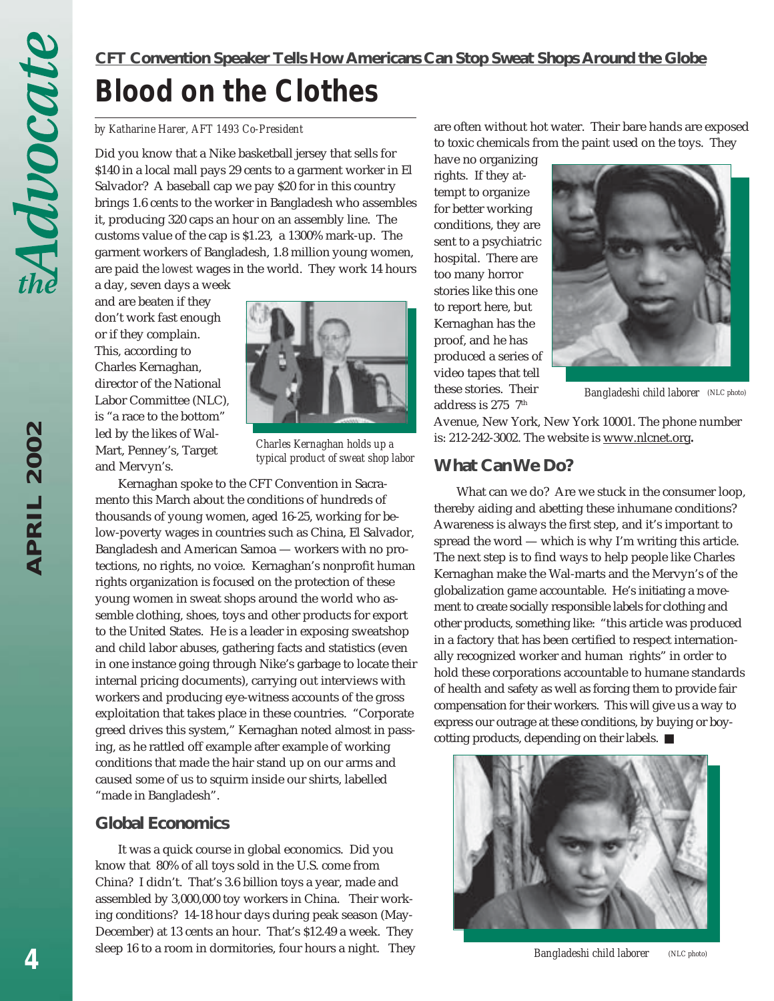# *Blood on the Clothes*

#### *by Katharine Harer, AFT 1493 Co-President*

Did you know that a Nike basketball jersey that sells for \$140 in a local mall pays 29 cents to a garment worker in El Salvador? A baseball cap we pay \$20 for in this country brings 1.6 cents to the worker in Bangladesh who assembles it, producing 320 caps an hour on an assembly line. The customs value of the cap is \$1.23, a 1300% mark-up. The garment workers of Bangladesh, 1.8 million young women, are paid the *lowest* wages in the world. They work 14 hours a day, seven days a week

and are beaten if they don't work fast enough or if they complain. This, according to Charles Kernaghan, director of the National Labor Committee (NLC)*,* is "a race to the bottom" led by the likes of Wal-Mart, Penney's, Target and Mervyn's.



*Charles Kernaghan holds up a typical product of sweat shop labor*

Kernaghan spoke to the CFT Convention in Sacramento this March about the conditions of hundreds of thousands of young women, aged 16-25, working for below-poverty wages in countries such as China, El Salvador, Bangladesh and American Samoa — workers with no protections, no rights, no voice. Kernaghan's nonprofit human rights organization is focused on the protection of these young women in sweat shops around the world who assemble clothing, shoes, toys and other products for export to the United States. He is a leader in exposing sweatshop and child labor abuses, gathering facts and statistics (even in one instance going through Nike's garbage to locate their internal pricing documents), carrying out interviews with workers and producing eye-witness accounts of the gross exploitation that takes place in these countries. "Corporate greed drives this system," Kernaghan noted almost in passing, as he rattled off example after example of working conditions that made the hair stand up on our arms and caused some of us to squirm inside our shirts, labelled "made in Bangladesh".

#### **Global Economics**

It was a quick course in global economics. Did you know that 80% of all toys sold in the U.S. come from China? I didn't. That's 3.6 billion toys a year, made and assembled by 3,000,000 toy workers in China. Their working conditions? 14-18 hour days during peak season (May-December) at 13 cents an hour. That's \$12.49 a week. They sleep 16 to a room in dormitories, four hours a night. They are often without hot water. Their bare hands are exposed to toxic chemicals from the paint used on the toys. They

have no organizing rights. If they attempt to organize for better working conditions, they are sent to a psychiatric hospital. There are too many horror stories like this one to report here, but Kernaghan has the proof, and he has produced a series of video tapes that tell these stories. Their address is 275 7<sup>th</sup>



*Bangladeshi child laborer (NLC photo)*

Avenue, New York, New York 10001. The phone number is: 212-242-3002. The website is www.nlcnet.org**.**

#### **What Can We Do?**

What can we do? Are we stuck in the consumer loop, thereby aiding and abetting these inhumane conditions? Awareness is always the first step, and it's important to spread the word — which is why I'm writing this article. The next step is to find ways to help people like Charles Kernaghan make the Wal-marts and the Mervyn's of the globalization game accountable. He's initiating a movement to create socially responsible labels for clothing and other products, something like: "this article was produced in a factory that has been certified to respect internationally recognized worker and human rights" in order to hold these corporations accountable to humane standards of health and safety as well as forcing them to provide fair compensation for their workers. This will give us a way to express our outrage at these conditions, by buying or boycotting products, depending on their labels. ■



*Bangladeshi child laborer (NLC photo)*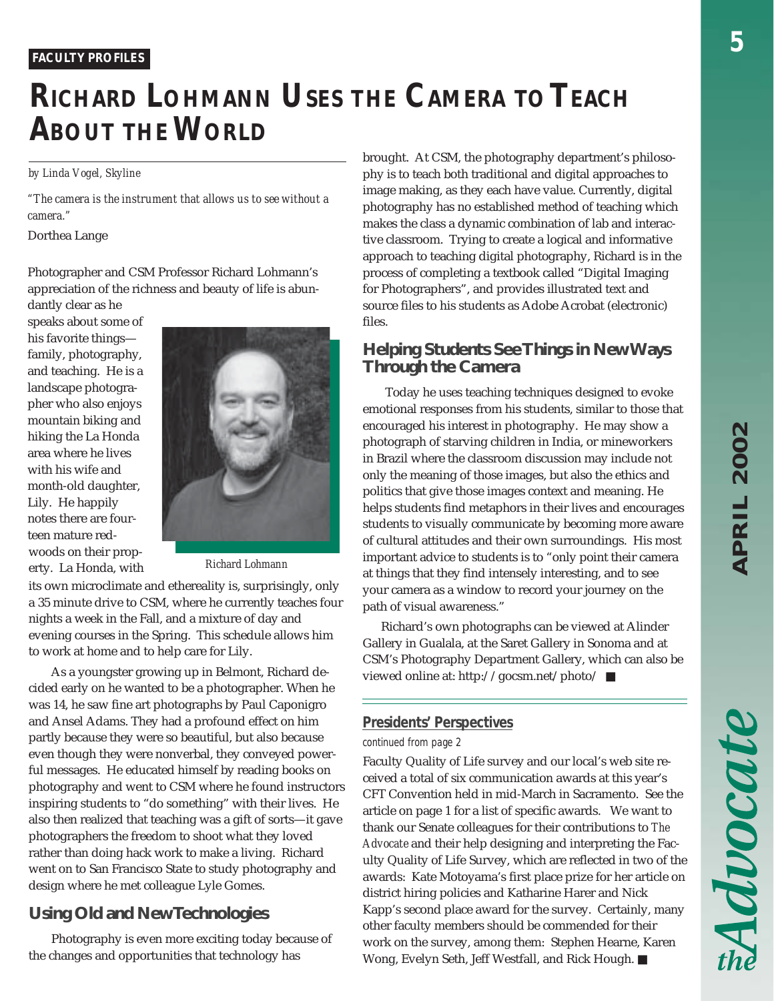Advocate

#### *FACULTY PROFILES*

# *RICHARD LOHMANN USES THE CAMERA TO TEACH ABOUT THE WORLD*

#### *by Linda Vogel, Skyline*

*"The camera is the instrument that allows us to see without a camera."*

Dorthea Lange

Photographer and CSM Professor Richard Lohmann's appreciation of the richness and beauty of life is abun-

dantly clear as he speaks about some of his favorite things family, photography, and teaching. He is a landscape photographer who also enjoys mountain biking and hiking the La Honda area where he lives with his wife and month-old daughter, Lily. He happily notes there are fourteen mature redwoods on their property. La Honda, with



*Richard Lohmann*

its own microclimate and ethereality is, surprisingly, only a 35 minute drive to CSM, where he currently teaches four nights a week in the Fall, and a mixture of day and evening courses in the Spring. This schedule allows him to work at home and to help care for Lily.

As a youngster growing up in Belmont, Richard decided early on he wanted to be a photographer. When he was 14, he saw fine art photographs by Paul Caponigro and Ansel Adams. They had a profound effect on him partly because they were so beautiful, but also because even though they were nonverbal, they conveyed powerful messages. He educated himself by reading books on photography and went to CSM where he found instructors inspiring students to "do something" with their lives. He also then realized that teaching was a gift of sorts—it gave photographers the freedom to shoot what they loved rather than doing hack work to make a living. Richard went on to San Francisco State to study photography and design where he met colleague Lyle Gomes.

#### **Using Old and New Technologies**

Photography is even more exciting today because of the changes and opportunities that technology has

brought. At CSM, the photography department's philosophy is to teach both traditional and digital approaches to image making, as they each have value. Currently, digital photography has no established method of teaching which makes the class a dynamic combination of lab and interactive classroom. Trying to create a logical and informative approach to teaching digital photography, Richard is in the process of completing a textbook called "Digital Imaging for Photographers", and provides illustrated text and source files to his students as Adobe Acrobat (electronic) files.

#### **Helping Students See Things in New Ways Through the Camera**

Today he uses teaching techniques designed to evoke emotional responses from his students, similar to those that encouraged his interest in photography. He may show a photograph of starving children in India, or mineworkers in Brazil where the classroom discussion may include not only the meaning of those images, but also the ethics and politics that give those images context and meaning. He helps students find metaphors in their lives and encourages students to visually communicate by becoming more aware of cultural attitudes and their own surroundings. His most important advice to students is to "only point their camera at things that they find intensely interesting, and to see your camera as a window to record your journey on the path of visual awareness."

 Richard's own photographs can be viewed at Alinder Gallery in Gualala, at the Saret Gallery in Sonoma and at CSM's Photography Department Gallery, which can also be viewed online at: http://gocsm.net/photo/ ■

#### *Presidents' Perspectives*

#### *continued from page 2*

Faculty Quality of Life survey and our local's web site received a total of six communication awards at this year's CFT Convention held in mid-March in Sacramento. See the article on page 1 for a list of specific awards. We want to thank our Senate colleagues for their contributions to *The Advocate* and their help designing and interpreting the Faculty Quality of Life Survey, which are reflected in two of the awards: Kate Motoyama's first place prize for her article on district hiring policies and Katharine Harer and Nick Kapp's second place award for the survey. Certainly, many other faculty members should be commended for their work on the survey, among them: Stephen Hearne, Karen Wong, Evelyn Seth, Jeff Westfall, and Rick Hough. ■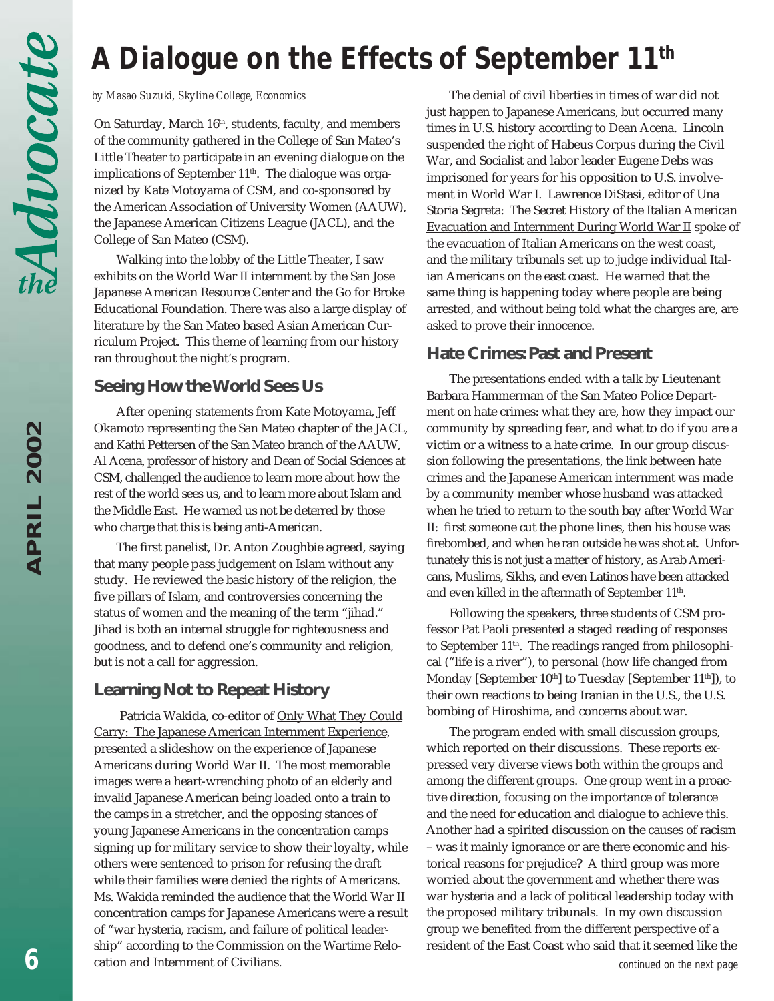# *A Dialogue on the Effects of September 11th*

#### *by Masao Suzuki, Skyline College, Economics*

On Saturday, March 16<sup>th</sup>, students, faculty, and members of the community gathered in the College of San Mateo's Little Theater to participate in an evening dialogue on the implications of September 11<sup>th</sup>. The dialogue was organized by Kate Motoyama of CSM, and co-sponsored by the American Association of University Women (AAUW), the Japanese American Citizens League (JACL), and the College of San Mateo (CSM).

Walking into the lobby of the Little Theater, I saw exhibits on the World War II internment by the San Jose Japanese American Resource Center and the Go for Broke Educational Foundation. There was also a large display of literature by the San Mateo based Asian American Curriculum Project. This theme of learning from our history ran throughout the night's program.

#### **Seeing How the World Sees Us**

After opening statements from Kate Motoyama, Jeff Okamoto representing the San Mateo chapter of the JACL, and Kathi Pettersen of the San Mateo branch of the AAUW, Al Acena, professor of history and Dean of Social Sciences at CSM, challenged the audience to learn more about how the rest of the world sees us, and to learn more about Islam and the Middle East. He warned us not be deterred by those who charge that this is being anti-American.

The first panelist, Dr. Anton Zoughbie agreed, saying that many people pass judgement on Islam without any study. He reviewed the basic history of the religion, the five pillars of Islam, and controversies concerning the status of women and the meaning of the term "jihad." Jihad is both an internal struggle for righteousness and goodness, and to defend one's community and religion, but is not a call for aggression.

#### **Learning Not to Repeat History**

 Patricia Wakida, co-editor of Only What They Could Carry: The Japanese American Internment Experience, presented a slideshow on the experience of Japanese Americans during World War II. The most memorable images were a heart-wrenching photo of an elderly and invalid Japanese American being loaded onto a train to the camps in a stretcher, and the opposing stances of young Japanese Americans in the concentration camps signing up for military service to show their loyalty, while others were sentenced to prison for refusing the draft while their families were denied the rights of Americans. Ms. Wakida reminded the audience that the World War II concentration camps for Japanese Americans were a result of "war hysteria, racism, and failure of political leadership" according to the Commission on the Wartime Relocation and Internment of Civilians.

The denial of civil liberties in times of war did not just happen to Japanese Americans, but occurred many times in U.S. history according to Dean Acena. Lincoln suspended the right of Habeus Corpus during the Civil War, and Socialist and labor leader Eugene Debs was imprisoned for years for his opposition to U.S. involvement in World War I. Lawrence DiStasi, editor of Una Storia Segreta: The Secret History of the Italian American Evacuation and Internment During World War II spoke of the evacuation of Italian Americans on the west coast, and the military tribunals set up to judge individual Italian Americans on the east coast. He warned that the same thing is happening today where people are being arrested, and without being told what the charges are, are asked to prove their innocence.

#### **Hate Crimes: Past and Present**

The presentations ended with a talk by Lieutenant Barbara Hammerman of the San Mateo Police Department on hate crimes: what they are, how they impact our community by spreading fear, and what to do if you are a victim or a witness to a hate crime. In our group discussion following the presentations, the link between hate crimes and the Japanese American internment was made by a community member whose husband was attacked when he tried to return to the south bay after World War II: first someone cut the phone lines, then his house was firebombed, and when he ran outside he was shot at. Unfortunately this is not just a matter of history, as Arab Americans, Muslims, Sikhs, and even Latinos have been attacked and even killed in the aftermath of September 11<sup>th</sup>.

Following the speakers, three students of CSM professor Pat Paoli presented a staged reading of responses to September 11<sup>th</sup>. The readings ranged from philosophical ("life is a river"), to personal (how life changed from Monday [September 10<sup>th</sup>] to Tuesday [September 11<sup>th</sup>]), to their own reactions to being Iranian in the U.S., the U.S. bombing of Hiroshima, and concerns about war.

The program ended with small discussion groups, which reported on their discussions. These reports expressed very diverse views both within the groups and among the different groups. One group went in a proactive direction, focusing on the importance of tolerance and the need for education and dialogue to achieve this. Another had a spirited discussion on the causes of racism – was it mainly ignorance or are there economic and historical reasons for prejudice? A third group was more worried about the government and whether there was war hysteria and a lack of political leadership today with the proposed military tribunals. In my own discussion group we benefited from the different perspective of a resident of the East Coast who said that it seemed like the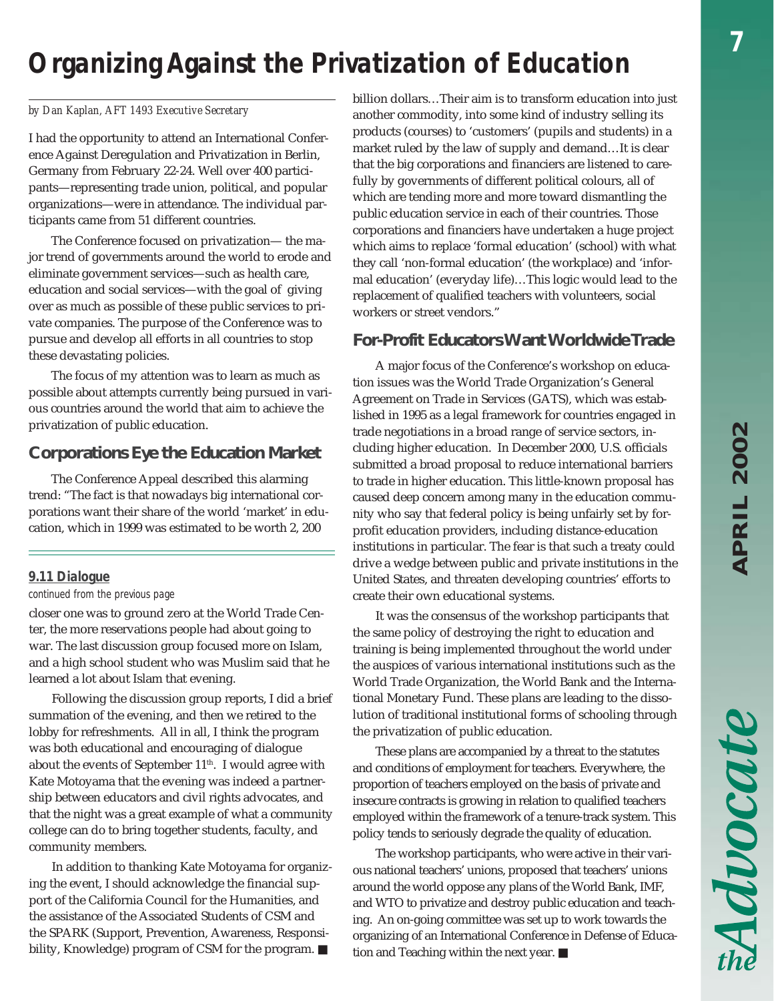# *Organizing Against the Privatization of Education*

#### *by Dan Kaplan, AFT 1493 Executive Secretary*

I had the opportunity to attend an International Conference Against Deregulation and Privatization in Berlin, Germany from February 22-24. Well over 400 participants—representing trade union, political, and popular organizations—were in attendance. The individual participants came from 51 different countries.

The Conference focused on privatization— the major trend of governments around the world to erode and eliminate government services—such as health care, education and social services—with the goal of giving over as much as possible of these public services to private companies. The purpose of the Conference was to pursue and develop all efforts in all countries to stop these devastating policies.

The focus of my attention was to learn as much as possible about attempts currently being pursued in various countries around the world that aim to achieve the privatization of public education.

#### **Corporations Eye the Education Market**

The Conference Appeal described this alarming trend: "The fact is that nowadays big international corporations want their share of the world 'market' in education, which in 1999 was estimated to be worth 2, 200

#### *9.11 Dialogue*

#### *continued from the previous page*

closer one was to ground zero at the World Trade Center, the more reservations people had about going to war. The last discussion group focused more on Islam, and a high school student who was Muslim said that he learned a lot about Islam that evening.

Following the discussion group reports, I did a brief summation of the evening, and then we retired to the lobby for refreshments. All in all, I think the program was both educational and encouraging of dialogue about the events of September 11<sup>th</sup>. I would agree with Kate Motoyama that the evening was indeed a partnership between educators and civil rights advocates, and that the night was a great example of what a community college can do to bring together students, faculty, and community members.

In addition to thanking Kate Motoyama for organizing the event, I should acknowledge the financial support of the California Council for the Humanities, and the assistance of the Associated Students of CSM and the SPARK (Support, Prevention, Awareness, Responsibility, Knowledge) program of CSM for the program. ■

billion dollars…Their aim is to transform education into just another commodity, into some kind of industry selling its products (courses) to 'customers' (pupils and students) in a market ruled by the law of supply and demand…It is clear that the big corporations and financiers are listened to carefully by governments of different political colours, all of which are tending more and more toward dismantling the public education service in each of their countries. Those corporations and financiers have undertaken a huge project which aims to replace 'formal education' (school) with what they call 'non-formal education' (the workplace) and 'informal education' (everyday life)…This logic would lead to the replacement of qualified teachers with volunteers, social workers or street vendors."

#### **For-Profit Educators Want Worldwide Trade**

A major focus of the Conference's workshop on education issues was the World Trade Organization's General Agreement on Trade in Services (GATS), which was established in 1995 as a legal framework for countries engaged in trade negotiations in a broad range of service sectors, including higher education. In December 2000, U.S. officials submitted a broad proposal to reduce international barriers to trade in higher education. This little-known proposal has caused deep concern among many in the education community who say that federal policy is being unfairly set by forprofit education providers, including distance-education institutions in particular. The fear is that such a treaty could drive a wedge between public and private institutions in the United States, and threaten developing countries' efforts to create their own educational systems.

It was the consensus of the workshop participants that the same policy of destroying the right to education and training is being implemented throughout the world under the auspices of various international institutions such as the World Trade Organization, the World Bank and the International Monetary Fund. These plans are leading to the dissolution of traditional institutional forms of schooling through the privatization of public education.

These plans are accompanied by a threat to the statutes and conditions of employment for teachers. Everywhere, the proportion of teachers employed on the basis of private and insecure contracts is growing in relation to qualified teachers employed within the framework of a tenure-track system. This policy tends to seriously degrade the quality of education.

The workshop participants, who were active in their various national teachers' unions, proposed that teachers' unions around the world oppose any plans of the World Bank, IMF, and WTO to privatize and destroy public education and teaching. An on-going committee was set up to work towards the organizing of an International Conference in Defense of Education and Teaching within the next year. ■